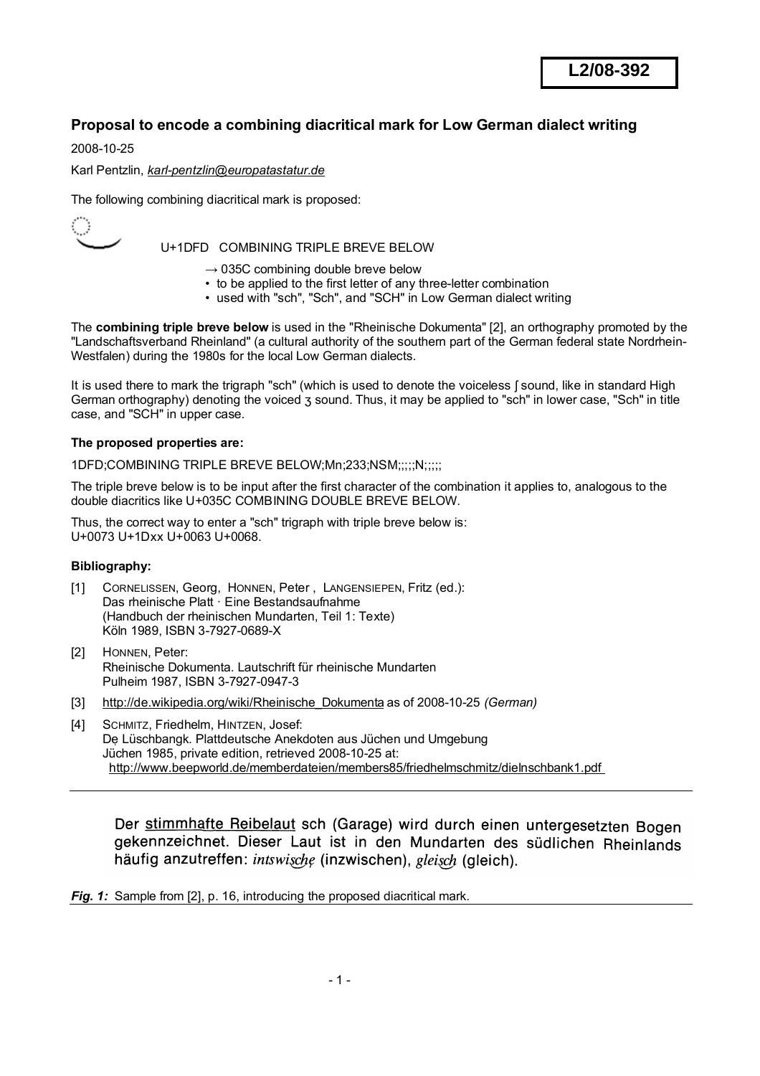# **Proposal to encode a combining diacritical mark for Low German dialect writing**

2008-10-25

Karl Pentzlin, *[karl-pentzlin@europatastatur.de](mailto:karl-pentzlin@europatastatur.de)*

The following combining diacritical mark is proposed:



U+1DFD COMBINING TRIPLE BREVE BELOW

- $\rightarrow$  035C combining double breve below
- to be applied to the first letter of any three-letter combination
- used with "sch", "Sch", and "SCH" in Low German dialect writing

The **combining triple breve below** is used in the "Rheinische Dokumenta" [2], an orthography promoted by the "Landschaftsverband Rheinland" (a cultural authority of the southern part of the German federal state Nordrhein-Westfalen) during the 1980s for the local Low German dialects.

It is used there to mark the trigraph "sch" (which is used to denote the voiceless [sound, like in standard High German orthography) denoting the voiced ʒ sound. Thus, it may be applied to "sch" in lower case, "Sch" in title case, and "SCH" in upper case.

### **The proposed properties are:**

1DFD;COMBINING TRIPLE BREVE BELOW;Mn;233;NSM;;;;;N;;;;;

The triple breve below is to be input after the first character of the combination it applies to, analogous to the double diacritics like U+035C COMBINING DOUBLE BREVE BELOW.

Thus, the correct way to enter a "sch" trigraph with triple breve below is: U+0073 U+1Dxx U+0063 U+0068.

### **Bibliography:**

- [1] CORNELISSEN, Georg, HONNEN, Peter , LANGENSIEPEN, Fritz (ed.): Das rheinische Platt · Eine Bestandsaufnahme (Handbuch der rheinischen Mundarten, Teil 1: Texte) Köln 1989, ISBN 3-7927-0689-X
- [2] HONNEN, Peter: Rheinische Dokumenta. Lautschrift für rheinische Mundarten Pulheim 1987, ISBN 3-7927-0947-3
- [3] [http://de.wikipedia.org/wiki/Rheinische\\_Dokumenta](http://de.wikipedia.org/wiki/Rheinische_Dokumenta) as of 2008-10-25 *(German)*
- [4] SCHMITZ, Friedhelm, HINTZEN, Josef; De Lüschbangk. Plattdeutsche Anekdoten aus Jüchen und Umgebung Jüchen 1985, private edition, retrieved 2008-10-25 at: <http://www.beepworld.de/memberdateien/members85/friedhelmschmitz/dielnschbank1.pdf>

Der stimmhafte Reibelaut sch (Garage) wird durch einen untergesetzten Bogen gekennzeichnet. Dieser Laut ist in den Mundarten des südlichen Rheinlands häufig anzutreffen: intswische (inzwischen), gleisch (gleich).

*Fig. 1:* Sample from [2], p. 16, introducing the proposed diacritical mark.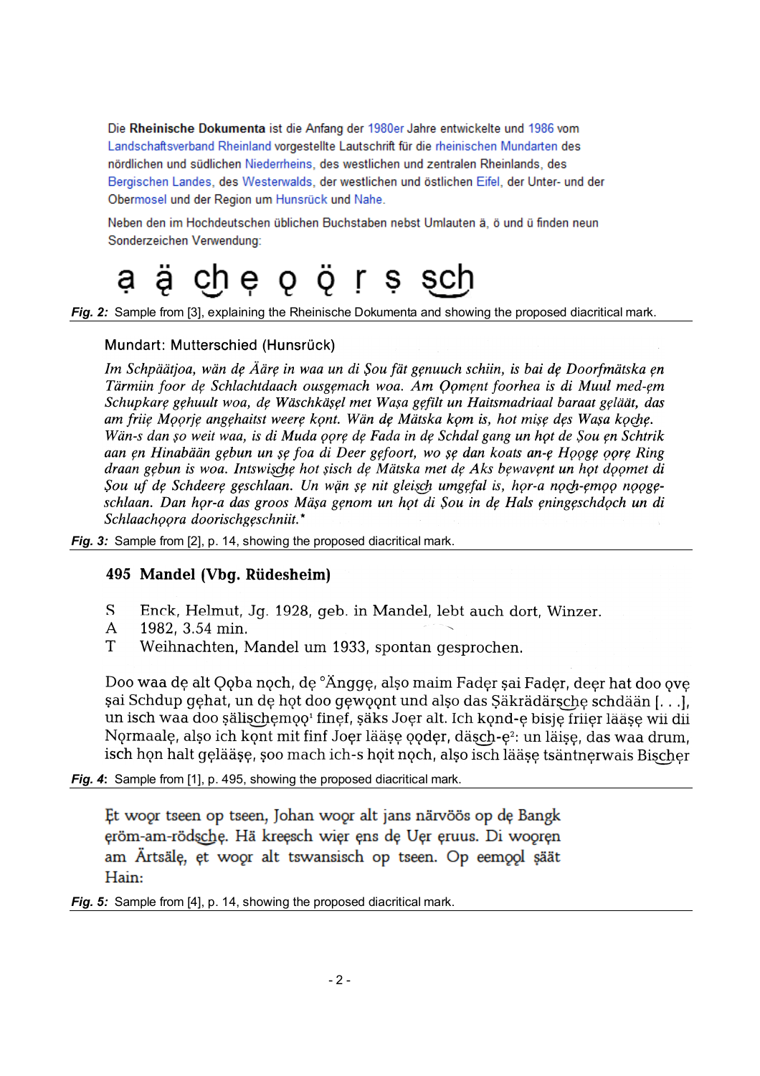Die Rheinische Dokumenta ist die Anfang der 1980er Jahre entwickelte und 1986 vom Landschaftsverband Rheinland vorgestellte Lautschrift für die rheinischen Mundarten des nördlichen und südlichen Niederrheins, des westlichen und zentralen Rheinlands, des Bergischen Landes, des Westerwalds, der westlichen und östlichen Eifel, der Unter- und der Obermosel und der Region um Hunsrück und Nahe.

Neben den im Hochdeutschen üblichen Buchstaben nebst Umlauten ä. ö und ü finden neun Sonderzeichen Verwendung:

#### che o ö r s ä sch

*Fig. 2:* Sample from [3], explaining the Rheinische Dokumenta and showing the proposed diacritical mark.

## Mundart: Mutterschied (Hunsrück)

Im Schpäätjoa, wän de Ääre in waa un di Sou fät genuuch schiin, is bai de Doorfmätska en Tärmiin foor de Schlachtdaach ousgemach woa. Am Qoment foorhea is di Muul med-em Schupkarę gęhuult woa, dę Wäschkäşęl met Waşa gęfilt un Haitsmadriaal baraat gęläät, das am friie Moorie angehaitst weere kont. Wän de Mätska kom is, hot mise des Wasa koche. Wän-s dan șo weit waa, is di Muda oore de Fada in de Schdal gang un hot de Sou en Schtrik aan en Hinabään gebun un se foa di Deer gefoort, wo se dan koats an-e Hooge oore Ring draan gebun is woa. Intswische hot sisch de Mätska met de Aks bewavent un hot doomet di Sou uf de Schdeere geschlaan. Un wän se nit gleisch umgefal is, hor-a noch-emoo noogeschlaan. Dan hor-a das groos Mäsa genom un hot di Sou in de Hals eningeschdoch un di Schlaachoora doorischgeschniit.\*

*Fig. 3:* Sample from [2], p. 14, showing the proposed diacritical mark.

# 495 Mandel (Vbg. Rüdesheim)

- $\overline{S}$ Enck, Helmut, Jg. 1928, geb. in Mandel, lebt auch dort, Winzer.
- $\mathsf{A}$ 1982, 3.54 min.
- Weihnachten, Mandel um 1933, spontan gesprochen.  $T$

Doo waa de alt Qoba noch, de <sup>°</sup>Angge, also maim Fader sai Fader, deer hat doo ove șai Schdup gehat, un de hot doo gewoont und also das Säkrädärsche schdään [...], un isch waa doo sälischemoo<sup>1</sup> finef, säks Joer alt. Ich kond-e bisje friier lääse wii dii Normaale, also ich kont mit finf Joer lääse ooder, däsch-e<sup>2</sup>: un läise, das waa drum. isch hon halt gelääse, soo mach ich-s hoit noch, also isch lääse tsäntnerwais Bischer

*Fig. 4*: Sample from [1], p. 495, showing the proposed diacritical mark.

Et woor tseen op tseen, Johan woor alt jans närvöös op de Bangk eröm-am-rödsche. Hä kreesch wier ens de Uer eruus. Di wooren am Ärtsäle, et woor alt tswansisch op tseen. Op eemool säät Hain:

*Fig. 5:* Sample from [4], p. 14, showing the proposed diacritical mark.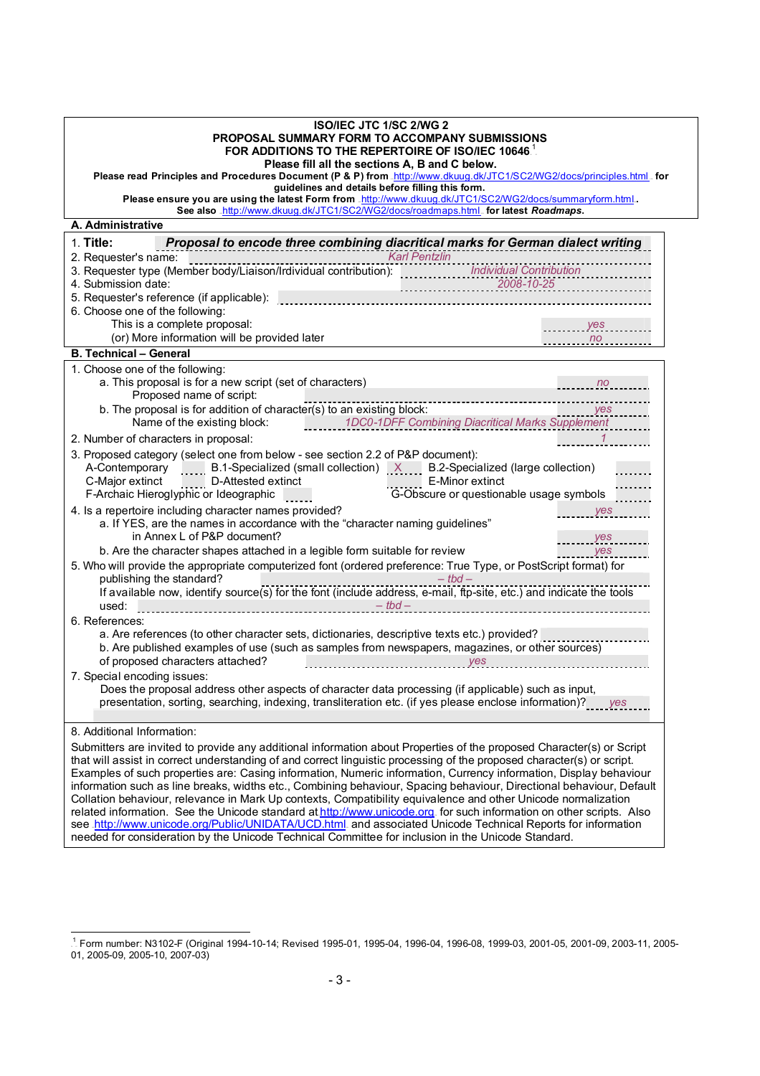| <b>ISO/IEC JTC 1/SC 2/WG 2</b><br>PROPOSAL SUMMARY FORM TO ACCOMPANY SUBMISSIONS<br>FOR ADDITIONS TO THE REPERTOIRE OF ISO/IEC 10646.<br>Please fill all the sections A, B and C below.<br>Please read Principles and Procedures Document (P & P) from .http://www.dkuug.dk/JTC1/SC2/WG2/docs/principles.html .for |                                                                                                                      |  |                                                                                                                                                               |  |  |
|--------------------------------------------------------------------------------------------------------------------------------------------------------------------------------------------------------------------------------------------------------------------------------------------------------------------|----------------------------------------------------------------------------------------------------------------------|--|---------------------------------------------------------------------------------------------------------------------------------------------------------------|--|--|
|                                                                                                                                                                                                                                                                                                                    |                                                                                                                      |  | guidelines and details before filling this form.<br>Please ensure you are using the latest Form from .http://www.dkuug.dk/JTC1/SC2/WG2/docs/summaryform.html. |  |  |
|                                                                                                                                                                                                                                                                                                                    |                                                                                                                      |  | See also .http://www.dkuug.dk/JTC1/SC2/WG2/docs/roadmaps.html. for latest Roadmaps.                                                                           |  |  |
| A. Administrative                                                                                                                                                                                                                                                                                                  |                                                                                                                      |  |                                                                                                                                                               |  |  |
| Proposal to encode three combining diacritical marks for German dialect writing<br>$1.$ Title:                                                                                                                                                                                                                     |                                                                                                                      |  |                                                                                                                                                               |  |  |
| Karl Pentzlin<br>2. Requester's name: contract the contract of the contract term of the contract of the contract of the contribution of the contribution of the contribution of the contribution of the contribution of the contribution of the                                                                    |                                                                                                                      |  |                                                                                                                                                               |  |  |
|                                                                                                                                                                                                                                                                                                                    |                                                                                                                      |  |                                                                                                                                                               |  |  |
| 4. Submission date:                                                                                                                                                                                                                                                                                                | $2008 - 10 - 25$                                                                                                     |  |                                                                                                                                                               |  |  |
| 5. Requester's reference (if applicable): <b>contract to the contract of the contract of the contract of the contract of the contract of the contract of the contract of the contract of the contract of the contract of the con</b>                                                                               |                                                                                                                      |  |                                                                                                                                                               |  |  |
| 6. Choose one of the following:<br>This is a complete proposal:                                                                                                                                                                                                                                                    |                                                                                                                      |  |                                                                                                                                                               |  |  |
| (or) More information will be provided later                                                                                                                                                                                                                                                                       | yes<br>$\overline{\phantom{a}}$ no                                                                                   |  |                                                                                                                                                               |  |  |
| <b>B. Technical - General</b>                                                                                                                                                                                                                                                                                      |                                                                                                                      |  |                                                                                                                                                               |  |  |
| 1. Choose one of the following:                                                                                                                                                                                                                                                                                    |                                                                                                                      |  |                                                                                                                                                               |  |  |
| a. This proposal is for a new script (set of characters)                                                                                                                                                                                                                                                           | $\frac{1}{2}$ no $\frac{1}{2}$                                                                                       |  |                                                                                                                                                               |  |  |
| Proposed name of script:                                                                                                                                                                                                                                                                                           | -----------------------------                                                                                        |  |                                                                                                                                                               |  |  |
| b. The proposal is for addition of character(s) to an existing block:                                                                                                                                                                                                                                              | $\frac{y}{s}$                                                                                                        |  |                                                                                                                                                               |  |  |
| Name of the existing block: 1DCO-1DFF Combining Diacritical Marks Supplement                                                                                                                                                                                                                                       |                                                                                                                      |  |                                                                                                                                                               |  |  |
| 2. Number of characters in proposal:                                                                                                                                                                                                                                                                               | $\mathcal{I}$                                                                                                        |  |                                                                                                                                                               |  |  |
| 3. Proposed category (select one from below - see section 2.2 of P&P document):                                                                                                                                                                                                                                    |                                                                                                                      |  |                                                                                                                                                               |  |  |
| A-Contemporary B.1-Specialized (small collection) X B.2-Specialized (large collection)                                                                                                                                                                                                                             |                                                                                                                      |  |                                                                                                                                                               |  |  |
| E-Minor extinct<br>C-Major extinct D-Attested extinct                                                                                                                                                                                                                                                              |                                                                                                                      |  |                                                                                                                                                               |  |  |
| F-Archaic Hieroglyphic or Ideographic                                                                                                                                                                                                                                                                              | G-Obscure or questionable usage symbols                                                                              |  |                                                                                                                                                               |  |  |
| 4. Is a repertoire including character names provided?                                                                                                                                                                                                                                                             | yes                                                                                                                  |  |                                                                                                                                                               |  |  |
| a. If YES, are the names in accordance with the "character naming guidelines"<br>in Annex L of P&P document?                                                                                                                                                                                                       | yes                                                                                                                  |  |                                                                                                                                                               |  |  |
| b. Are the character shapes attached in a legible form suitable for review                                                                                                                                                                                                                                         | <b>Example Street Street Street Street Street Street Street Street Street Street Street Street Street Street Str</b> |  |                                                                                                                                                               |  |  |
| 5. Who will provide the appropriate computerized font (ordered preference: True Type, or PostScript format) for                                                                                                                                                                                                    |                                                                                                                      |  |                                                                                                                                                               |  |  |
| publishing the standard?<br>$-tbd -$                                                                                                                                                                                                                                                                               |                                                                                                                      |  |                                                                                                                                                               |  |  |
| If available now, identify source(s) for the font (include address, e-mail, ftp-site, etc.) and indicate the tools                                                                                                                                                                                                 |                                                                                                                      |  |                                                                                                                                                               |  |  |
| $\frac{1}{1!}$ - tbd -<br>used:                                                                                                                                                                                                                                                                                    |                                                                                                                      |  |                                                                                                                                                               |  |  |
| 6. References:                                                                                                                                                                                                                                                                                                     |                                                                                                                      |  |                                                                                                                                                               |  |  |
| a. Are references (to other character sets, dictionaries, descriptive texts etc.) provided?                                                                                                                                                                                                                        |                                                                                                                      |  |                                                                                                                                                               |  |  |
| b. Are published examples of use (such as samples from newspapers, magazines, or other sources)<br>of proposed characters attached?                                                                                                                                                                                |                                                                                                                      |  |                                                                                                                                                               |  |  |
| the contract of the contract of the<br>7. Special encoding issues:                                                                                                                                                                                                                                                 | yes                                                                                                                  |  |                                                                                                                                                               |  |  |
| Does the proposal address other aspects of character data processing (if applicable) such as input,                                                                                                                                                                                                                |                                                                                                                      |  |                                                                                                                                                               |  |  |
| presentation, sorting, searching, indexing, transliteration etc. (if yes please enclose information)? yes                                                                                                                                                                                                          |                                                                                                                      |  |                                                                                                                                                               |  |  |
|                                                                                                                                                                                                                                                                                                                    |                                                                                                                      |  |                                                                                                                                                               |  |  |
| 8. Additional Information:                                                                                                                                                                                                                                                                                         |                                                                                                                      |  |                                                                                                                                                               |  |  |
| Submitters are invited to provide any additional information about Properties of the proposed Character(s) or Script                                                                                                                                                                                               |                                                                                                                      |  |                                                                                                                                                               |  |  |
| that will assist in correct understanding of and correct linguistic processing of the proposed character(s) or script.                                                                                                                                                                                             |                                                                                                                      |  |                                                                                                                                                               |  |  |
| Examples of such properties are: Casing information, Numeric information, Currency information, Display behaviour                                                                                                                                                                                                  |                                                                                                                      |  |                                                                                                                                                               |  |  |
| information such as line breaks, widths etc., Combining behaviour, Spacing behaviour, Directional behaviour, Default                                                                                                                                                                                               |                                                                                                                      |  |                                                                                                                                                               |  |  |
| Collation behaviour, relevance in Mark Up contexts, Compatibility equivalence and other Unicode normalization<br>related information. See the Unicode standard at http://www.unicode.org. for such information on other scripts. Also                                                                              |                                                                                                                      |  |                                                                                                                                                               |  |  |
| see http://www.unicode.org/Public/UNIDATA/UCD.html. and associated Unicode Technical Reports for information                                                                                                                                                                                                       |                                                                                                                      |  |                                                                                                                                                               |  |  |
| needed for consideration by the Unicode Technical Committee for inclusion in the Unicode Standard.                                                                                                                                                                                                                 |                                                                                                                      |  |                                                                                                                                                               |  |  |

 TP 1 PT Form number: N3102-F (Original 1994-10-14; Revised 1995-01, 1995-04, 1996-04, 1996-08, 1999-03, 2001-05, 2001-09, 2003-11, 2005- 01, 2005-09, 2005-10, 2007-03)